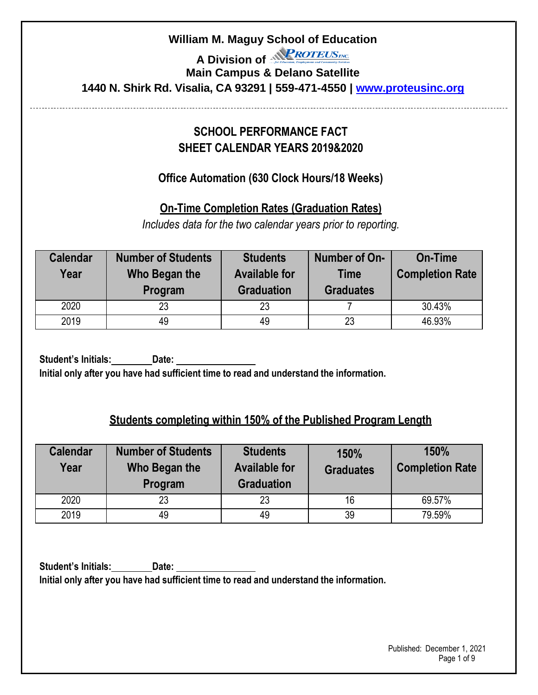A Division of *<u>AROTEUSINC*</mark></u>

# **Main Campus & Delano Satellite 1440 N. Shirk Rd. Visalia, CA 93291 | 559-471-4550 | [www.proteusinc.org](http://www.proteusinc.org/)**

# **SCHOOL PERFORMANCE FACT SHEET CALENDAR YEARS 2019&2020**

# **Office Automation (630 Clock Hours/18 Weeks)**

**On-Time Completion Rates (Graduation Rates)**

*Includes data for the two calendar years prior to reporting.*

| <b>Calendar</b><br>Year | <b>Number of Students</b><br>Who Began the<br>Program | <b>Students</b><br><b>Available for</b><br><b>Graduation</b> | Number of On-<br><b>Time</b><br><b>Graduates</b> | <b>On-Time</b><br><b>Completion Rate</b> |
|-------------------------|-------------------------------------------------------|--------------------------------------------------------------|--------------------------------------------------|------------------------------------------|
| 2020                    | 23                                                    | 23                                                           |                                                  | 30.43%                                   |
| 2019                    | 49                                                    | 49                                                           | 23                                               | 46.93%                                   |

**Student's Initials: Date: Initial only after you have had sufficient time to read and understand the information.**

# **Students completing within 150% of the Published Program Length**

| <b>Calendar</b><br>Year | <b>Number of Students</b><br>Who Began the<br>Program | <b>Students</b><br><b>Available for</b><br><b>Graduation</b> | 150%<br><b>Graduates</b> | 150%<br><b>Completion Rate</b> |  |
|-------------------------|-------------------------------------------------------|--------------------------------------------------------------|--------------------------|--------------------------------|--|
| 2020                    | 23                                                    | 23                                                           | 16                       | 69.57%                         |  |
| 2019                    | 49                                                    | 49                                                           | 39                       | 79.59%                         |  |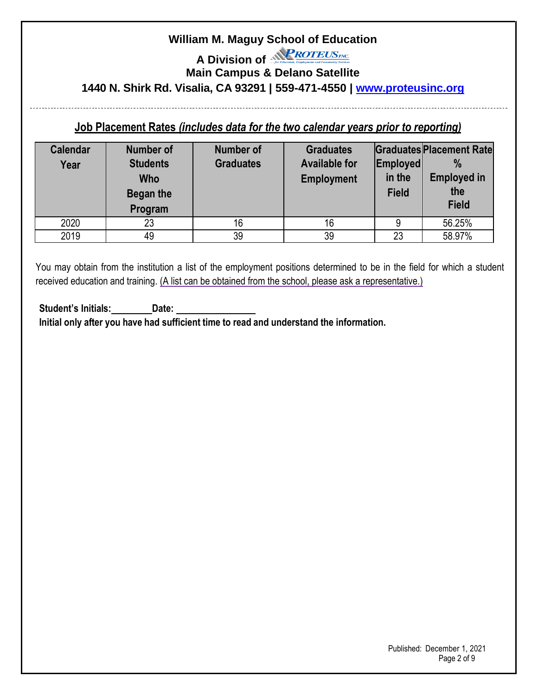A Division of *<u>AROTEUSne</u>* 

**Main Campus & Delano Satellite**

**1440 N. Shirk Rd. Visalia, CA 93291 | 559-471-4550 | [www.proteusinc.org](http://www.proteusinc.org/)**

### **Job Placement Rates** *(includes data for the two calendar years prior to reporting)*

| <b>Calendar</b><br>Year | <b>Number of</b><br><b>Students</b><br><b>Who</b><br><b>Began the</b><br>Program | <b>Number of</b><br><b>Graduates</b> | <b>Graduates</b><br><b>Available for</b><br>Employed<br>in the<br><b>Employment</b><br><b>Field</b><br>16 |    | <b>Graduates Placement Rate</b><br>$\frac{0}{0}$<br><b>Employed in</b><br>the<br><b>Field</b> |
|-------------------------|----------------------------------------------------------------------------------|--------------------------------------|-----------------------------------------------------------------------------------------------------------|----|-----------------------------------------------------------------------------------------------|
| 2020                    | 23                                                                               | 16                                   |                                                                                                           |    | 56.25%                                                                                        |
| 2019                    | 49                                                                               | 39                                   | 39                                                                                                        | 23 | 58.97%                                                                                        |

You may obtain from the institution a list of the employment positions determined to be in the field for which a student received education and training. (A list can be obtained from the school, please ask a representative.)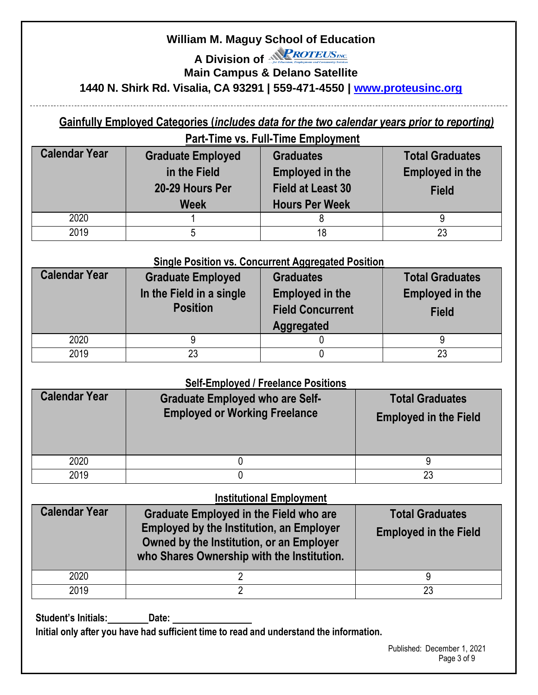A Division of *<u>PROTEUSne*</u>

**Main Campus & Delano Satellite**

## **1440 N. Shirk Rd. Visalia, CA 93291 | 559-471-4550 | [www.proteusinc.org](http://www.proteusinc.org/)**

# **Gainfully Employed Categories (***includes data for the two calendar years prior to reporting)*

| <b>Part-Time vs. Full-Time Employment</b>                                                          |  |                                                                                                 |                                                                  |  |  |  |
|----------------------------------------------------------------------------------------------------|--|-------------------------------------------------------------------------------------------------|------------------------------------------------------------------|--|--|--|
| <b>Calendar Year</b><br><b>Graduate Employed</b><br>in the Field<br>20-29 Hours Per<br><b>Week</b> |  | <b>Graduates</b><br><b>Employed in the</b><br><b>Field at Least 30</b><br><b>Hours Per Week</b> | <b>Total Graduates</b><br><b>Employed in the</b><br><b>Field</b> |  |  |  |
| 2020                                                                                               |  |                                                                                                 |                                                                  |  |  |  |
| 2019                                                                                               |  | 18                                                                                              | 23                                                               |  |  |  |

#### **Single Position vs. Concurrent Aggregated Position**

| <b>Calendar Year</b> | <b>Graduate Employed</b><br>In the Field in a single<br><b>Position</b> | <b>Graduates</b><br><b>Employed in the</b><br><b>Field Concurrent</b><br><b>Aggregated</b> | <b>Total Graduates</b><br><b>Employed in the</b><br><b>Field</b> |
|----------------------|-------------------------------------------------------------------------|--------------------------------------------------------------------------------------------|------------------------------------------------------------------|
| 2020                 |                                                                         |                                                                                            |                                                                  |
| 2019                 | 23                                                                      |                                                                                            | 23                                                               |

#### **Self-Employed / Freelance Positions**

| <b>OUT ETHOLOGY TOURING I OUTIONS</b><br><b>Calendar Year</b><br><b>Graduate Employed who are Self-</b><br><b>Employed or Working Freelance</b> |  | <b>Total Graduates</b><br><b>Employed in the Field</b> |
|-------------------------------------------------------------------------------------------------------------------------------------------------|--|--------------------------------------------------------|
| 2020                                                                                                                                            |  |                                                        |
| 2019                                                                                                                                            |  |                                                        |

#### **Institutional Employment**

| <b>Calendar Year</b> | <b>Graduate Employed in the Field who are</b><br><b>Employed by the Institution, an Employer</b><br>Owned by the Institution, or an Employer<br>who Shares Ownership with the Institution. | <b>Total Graduates</b><br><b>Employed in the Field</b> |
|----------------------|--------------------------------------------------------------------------------------------------------------------------------------------------------------------------------------------|--------------------------------------------------------|
| 2020                 |                                                                                                                                                                                            |                                                        |
| 2019                 |                                                                                                                                                                                            | 23                                                     |

**Student's Initials: Date:**

**Initial only after you have had sufficient time to read and understand the information.**

Published: December 1, 2021 Page 3 of 9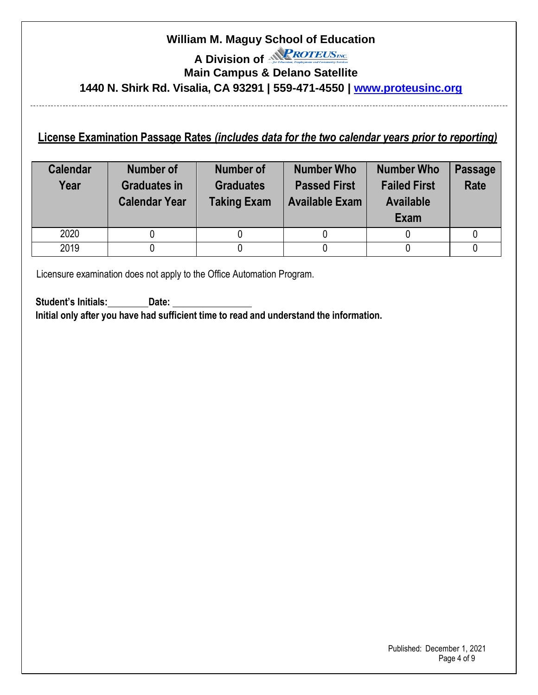# **William M. Maguy School of Education**  A Division of *<u>PROTEUSne*</u> **Main Campus & Delano Satellite 1440 N. Shirk Rd. Visalia, CA 93291 | 559-471-4550 | [www.proteusinc.org](http://www.proteusinc.org/)**

### **License Examination Passage Rates** *(includes data for the two calendar years prior to reporting)*

| <b>Calendar</b><br>Year | Number of<br><b>Graduates in</b><br><b>Calendar Year</b> | Number of<br><b>Graduates</b><br><b>Taking Exam</b> | <b>Number Who</b><br><b>Passed First</b><br><b>Available Exam</b> | <b>Number Who</b><br><b>Failed First</b><br><b>Available</b><br>Exam | <b>Passage</b><br><b>Rate</b> |
|-------------------------|----------------------------------------------------------|-----------------------------------------------------|-------------------------------------------------------------------|----------------------------------------------------------------------|-------------------------------|
| 2020                    |                                                          |                                                     |                                                                   |                                                                      |                               |
| 2019                    |                                                          |                                                     |                                                                   |                                                                      |                               |

Licensure examination does not apply to the Office Automation Program.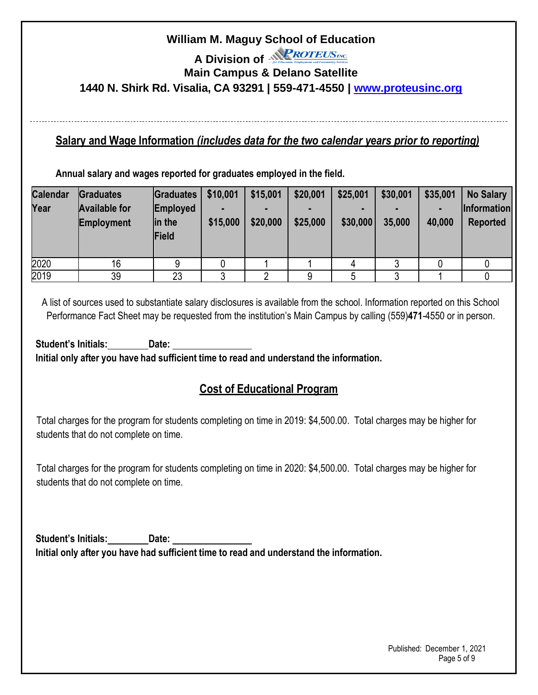A Division of *<u>AROTEUSne*</u>

**Main Campus & Delano Satellite**

**1440 N. Shirk Rd. Visalia, CA 93291 | 559-471-4550 | [www.proteusinc.org](http://www.proteusinc.org/)**

#### **Salary and Wage Information** *(includes data for the two calendar years prior to reporting)*

**Annual salary and wages reported for graduates employed in the field.**

| <b>Calendar</b><br>Year | Graduates<br><b>Available for</b><br><b>Employment</b> | Graduates<br>Employed<br>in the<br>Field | \$10,001<br>\$15,000 | \$15,001<br>\$20,000 | \$20,001<br>\$25,000 | \$25,001<br>\$30,000 | \$30,001<br>35,000 | \$35,001<br>н<br>40,000 | <b>No Salary</b><br><b>Information</b><br>Reported |
|-------------------------|--------------------------------------------------------|------------------------------------------|----------------------|----------------------|----------------------|----------------------|--------------------|-------------------------|----------------------------------------------------|
| 2020                    | 16                                                     |                                          |                      |                      |                      |                      |                    |                         |                                                    |
| 2019                    | 39                                                     | 23                                       |                      |                      |                      | 5                    |                    |                         |                                                    |

A list of sources used to substantiate salary disclosures is available from the school. Information reported on this School Performance Fact Sheet may be requested from the institution's Main Campus by calling (559)**471**-4550 or in person.

**Student's Initials: Date: Initial only after you have had sufficient time to read and understand the information.**

# **Cost of Educational Program**

Total charges for the program for students completing on time in 2019: \$4,500.00. Total charges may be higher for students that do not complete on time.

Total charges for the program for students completing on time in 2020: \$4,500.00. Total charges may be higher for students that do not complete on time.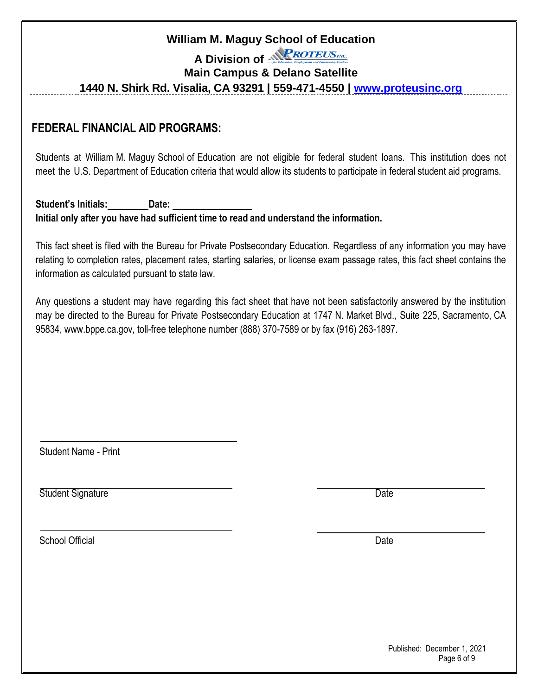A Division of *<u>AROTEUSne</u>* 

#### **Main Campus & Delano Satellite**

**1440 N. Shirk Rd. Visalia, CA 93291 | 559-471-4550 | [www.proteusinc.org](http://www.proteusinc.org/)**

#### **FEDERAL FINANCIAL AID PROGRAMS:**

Students at William M. Maguy School of Education are not eligible for federal student loans. This institution does not meet the U.S. Department of Education criteria that would allow its students to participate in federal student aid programs.

**Student's Initials: Date: Initial only after you have had sufficient time to read and understand the information.**

This fact sheet is filed with the Bureau for Private Postsecondary Education. Regardless of any information you may have relating to completion rates, placement rates, starting salaries, or license exam passage rates, this fact sheet contains the information as calculated pursuant to state law.

Any questions a student may have regarding this fact sheet that have not been satisfactorily answered by the institution may be directed to the Bureau for Private Postsecondary Education at 1747 N. Market Blvd., Suite 225, Sacramento, CA 95834, [www.bppe.ca.gov,](http://www.bppe.ca.gov/) toll-free telephone number (888) 370-7589 or by fax (916) 263-1897.

Student Name - Print

Student Signature Date

School Official Date **Date of the Contract of Contract Contract Official** Date Date Date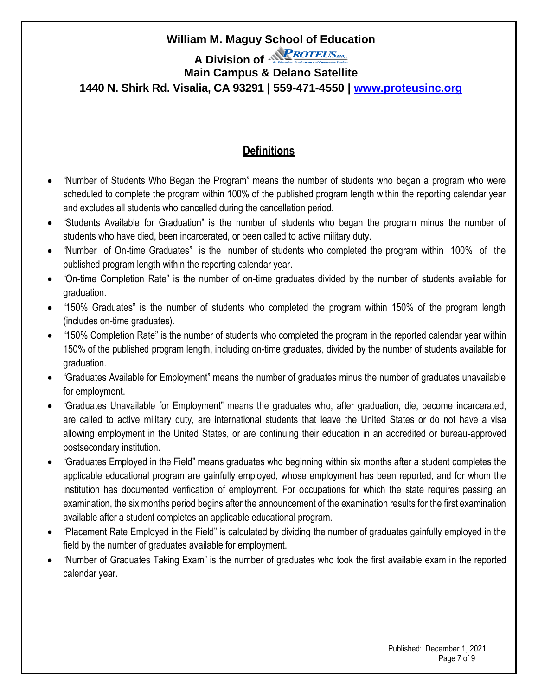A Division of *<u>AROTEUSne*</u>

#### **Main Campus & Delano Satellite**

**1440 N. Shirk Rd. Visalia, CA 93291 | 559-471-4550 | [www.proteusinc.org](http://www.proteusinc.org/)**

# **Definitions**

- "Number of Students Who Began the Program" means the number of students who began a program who were scheduled to complete the program within 100% of the published program length within the reporting calendar year and excludes all students who cancelled during the cancellation period.
- "Students Available for Graduation" is the number of students who began the program minus the number of students who have died, been incarcerated, or been called to active military duty.
- "Number of On-time Graduates" is the number of students who completed the program within 100% of the published program length within the reporting calendar year.
- "On-time Completion Rate" is the number of on-time graduates divided by the number of students available for graduation.
- "150% Graduates" is the number of students who completed the program within 150% of the program length (includes on-time graduates).
- "150% Completion Rate" is the number of students who completed the program in the reported calendar year within 150% of the published program length, including on-time graduates, divided by the number of students available for graduation.
- "Graduates Available for Employment" means the number of graduates minus the number of graduates unavailable for employment.
- "Graduates Unavailable for Employment" means the graduates who, after graduation, die, become incarcerated, are called to active military duty, are international students that leave the United States or do not have a visa allowing employment in the United States, or are continuing their education in an accredited or bureau-approved postsecondary institution.
- "Graduates Employed in the Field" means graduates who beginning within six months after a student completes the applicable educational program are gainfully employed, whose employment has been reported, and for whom the institution has documented verification of employment. For occupations for which the state requires passing an examination, the six months period begins after the announcement of the examination results for the first examination available after a student completes an applicable educational program.
- "Placement Rate Employed in the Field" is calculated by dividing the number of graduates gainfully employed in the field by the number of graduates available for employment.
- "Number of Graduates Taking Exam" is the number of graduates who took the first available exam in the reported calendar year.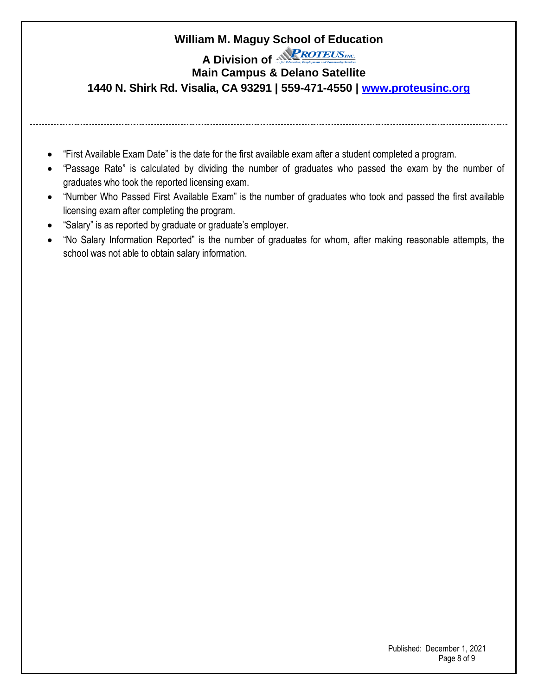A Division of *<u>PROTEUSING*</u>

#### **Main Campus & Delano Satellite**

**1440 N. Shirk Rd. Visalia, CA 93291 | 559-471-4550 | [www.proteusinc.org](http://www.proteusinc.org/)**

- 
- "First Available Exam Date" is the date for the first available exam after a student completed a program.
- "Passage Rate" is calculated by dividing the number of graduates who passed the exam by the number of graduates who took the reported licensing exam.
- "Number Who Passed First Available Exam" is the number of graduates who took and passed the first available licensing exam after completing the program.
- "Salary" is as reported by graduate or graduate's employer.
- "No Salary Information Reported" is the number of graduates for whom, after making reasonable attempts, the school was not able to obtain salary information.